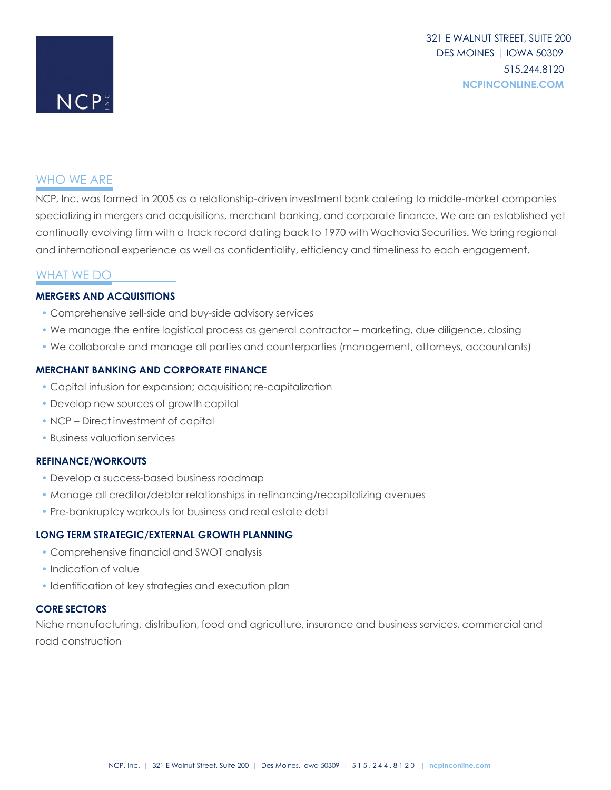# WHO WE ARE

 $NCP<sup>o</sup>$ 

NCP, Inc. was formed in 2005 as a relationship-driven investment bank catering to middle-market companies specializing in mergers and acquisitions, merchant banking, and corporate finance. We are an established yet continually evolving firm with a track record dating back to 1970 with Wachovia Securities. We bring regional and international experience as well as confidentiality, efficiency and timeliness to each engagement.

# WHAT WE DO

## **MERGERS AND ACQUISITIONS**

- Comprehensive sell-side and buy-side advisory services
- We manage the entire logistical process as general contractor marketing, due diligence, closing
- We collaborate and manage all parties and counterparties (management, attorneys, accountants)

### **MERCHANT BANKING AND CORPORATE FINANCE**

- Capital infusion for expansion; acquisition; re-capitalization
- Develop new sources of growth capital
- NCP Direct investment of capital
- Business valuation services

#### **REFINANCE/WORKOUTS**

- Develop a success-based business roadmap
- Manage all creditor/debtor relationships in refinancing/recapitalizing avenues
- Pre-bankruptcy workouts for business and real estate debt

#### **LONG TERM STRATEGIC/EXTERNAL GROWTH PLANNING**

- Comprehensive financial and SWOT analysis
- Indication of value
- Identification of key strategies and execution plan

## **CORE SECTORS**

Niche manufacturing, distribution, food and agriculture, insurance and business services, commercial and road construction